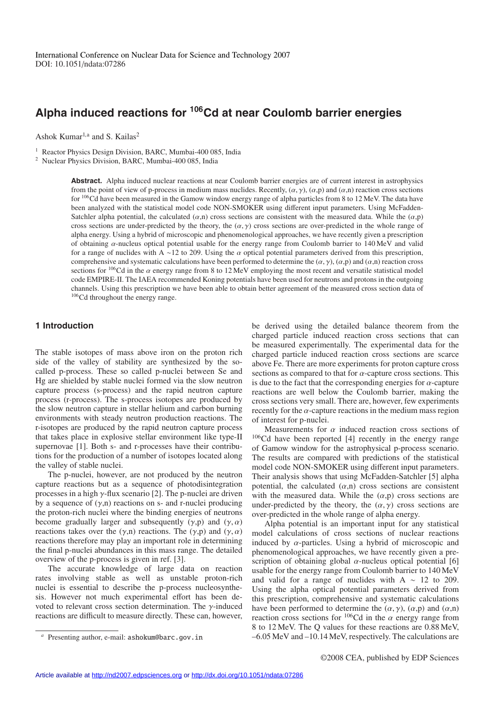# **Alpha induced reactions for 106Cd at near Coulomb barrier energies**

Ashok Kumar<sup>1,a</sup> and S. Kailas<sup>2</sup>

<sup>1</sup> Reactor Physics Design Division, BARC, Mumbai-400 085, India

<sup>2</sup> Nuclear Physics Division, BARC, Mumbai-400 085, India

**Abstract.** Alpha induced nuclear reactions at near Coulomb barrier energies are of current interest in astrophysics from the point of view of p-process in medium mass nuclides. Recently,  $(\alpha, \gamma)$ ,  $(\alpha, p)$  and  $(\alpha, n)$  reaction cross sections for 106Cd have been measured in the Gamow window energy range of alpha particles from 8 to 12 MeV. The data have been analyzed with the statistical model code NON-SMOKER using different input parameters. Using McFadden-Satchler alpha potential, the calculated  $(\alpha,n)$  cross sections are consistent with the measured data. While the  $(\alpha,p)$ cross sections are under-predicted by the theory, the  $(\alpha, \gamma)$  cross sections are over-predicted in the whole range of alpha energy. Using a hybrid of microscopic and phenomenological approaches, we have recently given a prescription of obtaining α-nucleus optical potential usable for the energy range from Coulomb barrier to 140 MeV and valid for a range of nuclides with A ∼12 to 209. Using the  $\alpha$  optical potential parameters derived from this prescription, comprehensive and systematic calculations have been performed to determine the  $(\alpha, \gamma)$ ,  $(\alpha, \beta)$  and  $(\alpha, n)$  reaction cross sections for <sup>106</sup>Cd in the  $\alpha$  energy range from 8 to 12 MeV employing the most recent and versatile statistical model code EMPIRE-II. The IAEA recommended Koning potentials have been used for neutrons and protons in the outgoing channels. Using this prescription we have been able to obtain better agreement of the measured cross section data of 106Cd throughout the energy range.

## **1 Introduction**

The stable isotopes of mass above iron on the proton rich side of the valley of stability are synthesized by the socalled p-process. These so called p-nuclei between Se and Hg are shielded by stable nuclei formed via the slow neutron capture process (s-process) and the rapid neutron capture process (r-process). The s-process isotopes are produced by the slow neutron capture in stellar helium and carbon burning environments with steady neutron production reactions. The r-isotopes are produced by the rapid neutron capture process that takes place in explosive stellar environment like type-II supernovae [1]. Both s- and r-processes have their contributions for the production of a number of isotopes located along the valley of stable nuclei.

The p-nuclei, however, are not produced by the neutron capture reactions but as a sequence of photodisintegration processes in a high  $\gamma$ -flux scenario [2]. The p-nuclei are driven by a sequence of  $(\gamma,n)$  reactions on s- and r-nuclei producing the proton-rich nuclei where the binding energies of neutrons become gradually larger and subsequently  $(\gamma, p)$  and  $(\gamma, \alpha)$ reactions takes over the  $(\gamma, n)$  reactions. The  $(\gamma, p)$  and  $(\gamma, \alpha)$ reactions therefore may play an important role in determining the final p-nuclei abundances in this mass range. The detailed overview of the p-process is given in ref. [3].

The accurate knowledge of large data on reaction rates involving stable as well as unstable proton-rich nuclei is essential to describe the p-process nucleosynthesis. However not much experimental effort has been devoted to relevant cross section determination. The  $\gamma$ -induced reactions are difficult to measure directly. These can, however,

Measurements for  $\alpha$  induced reaction cross sections of 106Cd have been reported [4] recently in the energy range of Gamow window for the astrophysical p-process scenario. The results are compared with predictions of the statistical model code NON-SMOKER using different input parameters. Their analysis shows that using McFadden-Satchler [5] alpha potential, the calculated  $(\alpha, n)$  cross sections are consistent with the measured data. While the  $(\alpha, p)$  cross sections are under-predicted by the theory, the  $(\alpha, \gamma)$  cross sections are over-predicted in the whole range of alpha energy.

Alpha potential is an important input for any statistical model calculations of cross sections of nuclear reactions induced by  $\alpha$ -particles. Using a hybrid of microscopic and phenomenological approaches, we have recently given a prescription of obtaining global  $\alpha$ -nucleus optical potential [6] usable for the energy range from Coulomb barrier to 140 MeV and valid for a range of nuclides with A  $~\sim~12$  to 209. Using the alpha optical potential parameters derived from this prescription, comprehensive and systematic calculations have been performed to determine the  $(\alpha, \gamma)$ ,  $(\alpha, p)$  and  $(\alpha, n)$ reaction cross sections for  $^{106}$ Cd in the  $\alpha$  energy range from 8 to 12 MeV. The Q values for these reactions are 0.88 MeV, –6.05 MeV and –10.14 MeV, respectively. The calculations are

be derived using the detailed balance theorem from the charged particle induced reaction cross sections that can be measured experimentally. The experimental data for the charged particle induced reaction cross sections are scarce above Fe. There are more experiments for proton capture cross sections as compared to that for  $\alpha$ -capture cross sections. This is due to the fact that the corresponding energies for  $\alpha$ -capture reactions are well below the Coulomb barrier, making the cross sections very small. There are, however, few experiments recently for the  $\alpha$ -capture reactions in the medium mass region of interest for p-nuclei.

*<sup>a</sup>* Presenting author, e-mail: ashokum@barc.gov.in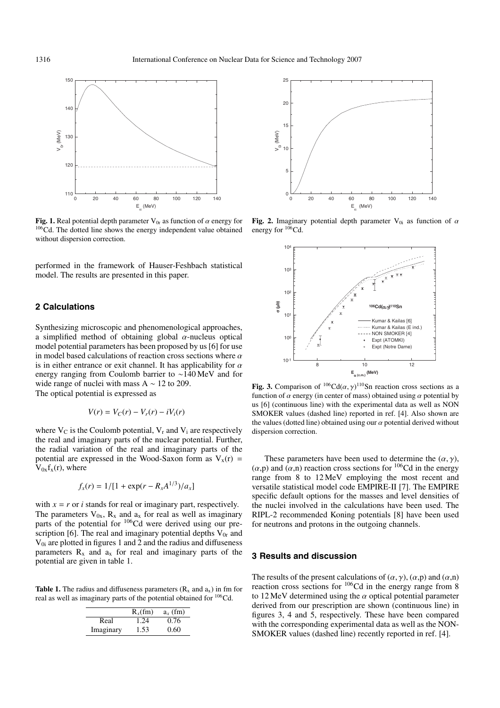

**Fig. 1.** Real potential depth parameter  $V_{0r}$  as function of  $\alpha$  energy for <sup>106</sup>Cd. The dotted line shows the energy independent value obtained without dispersion correction.

performed in the framework of Hauser-Feshbach statistical model. The results are presented in this paper.

#### **2 Calculations**

Synthesizing microscopic and phenomenological approaches, a simplified method of obtaining global  $\alpha$ -nucleus optical model potential parameters has been proposed by us [6] for use in model based calculations of reaction cross sections where  $\alpha$ is in either entrance or exit channel. It has applicability for  $\alpha$ energy ranging from Coulomb barrier to ∼140 MeV and for wide range of nuclei with mass  $A \sim 12$  to 209.

The optical potential is expressed as

$$
V(r) = V_C(r) - V_r(r) - iV_i(r)
$$

where  $V_C$  is the Coulomb potential,  $V_r$  and  $V_i$  are respectively the real and imaginary parts of the nuclear potential. Further, the radial variation of the real and imaginary parts of the potential are expressed in the Wood-Saxon form as  $V_x(r)$  =  $V_{0x}f_{x}(r)$ , where

$$
f_x(r) = 1/[1 + \exp(r - R_x A^{1/3})/a_x]
$$

with  $x = r$  or *i* stands for real or imaginary part, respectively. The parameters  $V_{0x}$ ,  $R_x$  and  $a_x$  for real as well as imaginary parts of the potential for  $106\text{Cd}$  were derived using our prescription [6]. The real and imaginary potential depths  $V_{0r}$  and  $V_{0i}$  are plotted in figures 1 and 2 and the radius and diffuseness parameters  $R_x$  and  $a_x$  for real and imaginary parts of the potential are given in table 1.

**Table 1.** The radius and diffuseness parameters  $(R_x \text{ and } a_x)$  in fm for real as well as imaginary parts of the potential obtained for 106Cd.

|           | $R_r$ (fm) | $a_x$ (fm) |
|-----------|------------|------------|
| Real      | 1.24       | 0.76       |
| Imaginary | 1.53       | 0.60       |



**Fig. 2.** Imaginary potential depth parameter  $V_{0i}$  as function of  $\alpha$ energy for  $106Cd$ .



**Fig. 3.** Comparison of  $^{106}Cd(\alpha, \gamma)^{110}Sn$  reaction cross sections as a function of  $\alpha$  energy (in center of mass) obtained using  $\alpha$  potential by us [6] (continuous line) with the experimental data as well as NON SMOKER values (dashed line) reported in ref. [4]. Also shown are the values (dotted line) obtained using our  $\alpha$  potential derived without dispersion correction.

These parameters have been used to determine the  $(\alpha, \gamma)$ ,  $(\alpha, \beta)$  and  $(\alpha, \eta)$  reaction cross sections for <sup>106</sup>Cd in the energy range from 8 to 12 MeV employing the most recent and versatile statistical model code EMPIRE-II [7]. The EMPIRE specific default options for the masses and level densities of the nuclei involved in the calculations have been used. The RIPL-2 recommended Koning potentials [8] have been used for neutrons and protons in the outgoing channels.

#### **3 Results and discussion**

The results of the present calculations of  $(\alpha, \gamma)$ ,  $(\alpha, \beta)$  and  $(\alpha, n)$ reaction cross sections for 106Cd in the energy range from 8 to 12 MeV determined using the  $\alpha$  optical potential parameter derived from our prescription are shown (continuous line) in figures 3, 4 and 5, respectively. These have been compared with the corresponding experimental data as well as the NON-SMOKER values (dashed line) recently reported in ref. [4].